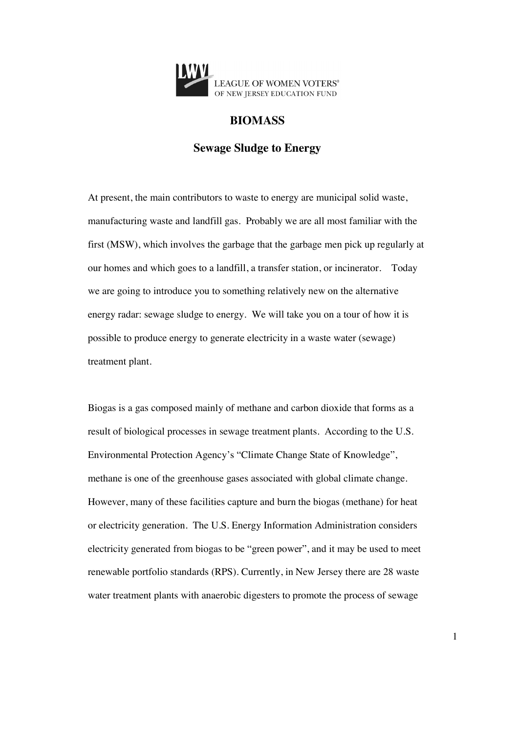

# **BIOMASS**

## **Sewage Sludge to Energy**

At present, the main contributors to waste to energy are municipal solid waste, manufacturing waste and landfill gas. Probably we are all most familiar with the first (MSW), which involves the garbage that the garbage men pick up regularly at our homes and which goes to a landfill, a transfer station, or incinerator. Today we are going to introduce you to something relatively new on the alternative energy radar: sewage sludge to energy. We will take you on a tour of how it is possible to produce energy to generate electricity in a waste water (sewage) treatment plant.

Biogas is a gas composed mainly of methane and carbon dioxide that forms as a result of biological processes in sewage treatment plants. According to the U.S. Environmental Protection Agency's "Climate Change State of Knowledge", methane is one of the greenhouse gases associated with global climate change. However, many of these facilities capture and burn the biogas (methane) for heat or electricity generation. The U.S. Energy Information Administration considers electricity generated from biogas to be "green power", and it may be used to meet renewable portfolio standards (RPS). Currently, in New Jersey there are 28 waste water treatment plants with anaerobic digesters to promote the process of sewage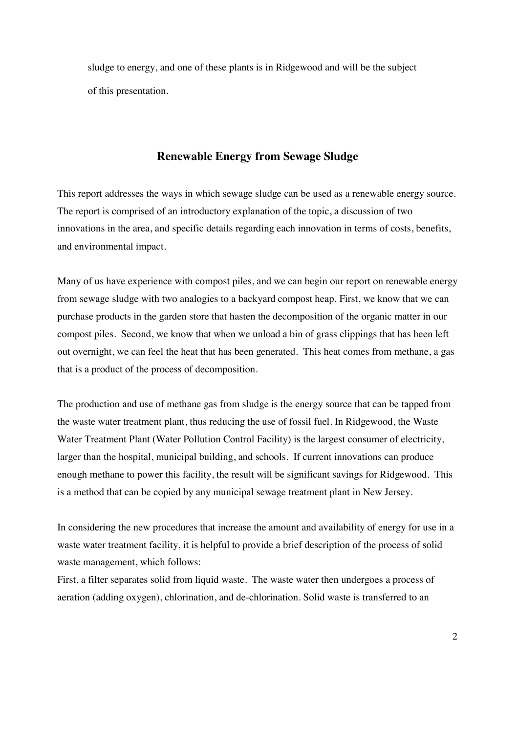sludge to energy, and one of these plants is in Ridgewood and will be the subject of this presentation.

### **Renewable Energy from Sewage Sludge**

This report addresses the ways in which sewage sludge can be used as a renewable energy source. The report is comprised of an introductory explanation of the topic, a discussion of two innovations in the area, and specific details regarding each innovation in terms of costs, benefits, and environmental impact.

Many of us have experience with compost piles, and we can begin our report on renewable energy from sewage sludge with two analogies to a backyard compost heap. First, we know that we can purchase products in the garden store that hasten the decomposition of the organic matter in our compost piles. Second, we know that when we unload a bin of grass clippings that has been left out overnight, we can feel the heat that has been generated. This heat comes from methane, a gas that is a product of the process of decomposition.

The production and use of methane gas from sludge is the energy source that can be tapped from the waste water treatment plant, thus reducing the use of fossil fuel. In Ridgewood, the Waste Water Treatment Plant (Water Pollution Control Facility) is the largest consumer of electricity, larger than the hospital, municipal building, and schools. If current innovations can produce enough methane to power this facility, the result will be significant savings for Ridgewood. This is a method that can be copied by any municipal sewage treatment plant in New Jersey.

In considering the new procedures that increase the amount and availability of energy for use in a waste water treatment facility, it is helpful to provide a brief description of the process of solid waste management, which follows:

First, a filter separates solid from liquid waste. The waste water then undergoes a process of aeration (adding oxygen), chlorination, and de-chlorination. Solid waste is transferred to an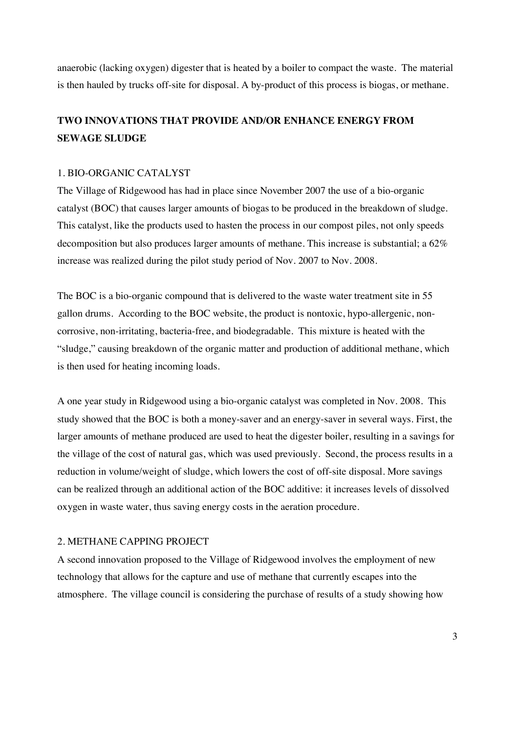anaerobic (lacking oxygen) digester that is heated by a boiler to compact the waste. The material is then hauled by trucks off-site for disposal. A by-product of this process is biogas, or methane.

# **TWO INNOVATIONS THAT PROVIDE AND/OR ENHANCE ENERGY FROM SEWAGE SLUDGE**

#### 1. BIO-ORGANIC CATALYST

The Village of Ridgewood has had in place since November 2007 the use of a bio-organic catalyst (BOC) that causes larger amounts of biogas to be produced in the breakdown of sludge. This catalyst, like the products used to hasten the process in our compost piles, not only speeds decomposition but also produces larger amounts of methane. This increase is substantial; a 62% increase was realized during the pilot study period of Nov. 2007 to Nov. 2008.

The BOC is a bio-organic compound that is delivered to the waste water treatment site in 55 gallon drums. According to the BOC website, the product is nontoxic, hypo-allergenic, noncorrosive, non-irritating, bacteria-free, and biodegradable. This mixture is heated with the "sludge," causing breakdown of the organic matter and production of additional methane, which is then used for heating incoming loads.

A one year study in Ridgewood using a bio-organic catalyst was completed in Nov. 2008. This study showed that the BOC is both a money-saver and an energy-saver in several ways. First, the larger amounts of methane produced are used to heat the digester boiler, resulting in a savings for the village of the cost of natural gas, which was used previously. Second, the process results in a reduction in volume/weight of sludge, which lowers the cost of off-site disposal. More savings can be realized through an additional action of the BOC additive: it increases levels of dissolved oxygen in waste water, thus saving energy costs in the aeration procedure.

### 2. METHANE CAPPING PROJECT

A second innovation proposed to the Village of Ridgewood involves the employment of new technology that allows for the capture and use of methane that currently escapes into the atmosphere. The village council is considering the purchase of results of a study showing how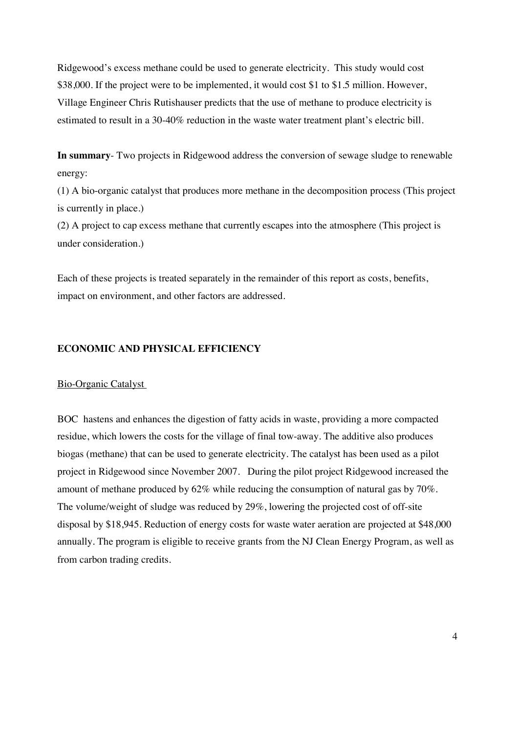Ridgewood's excess methane could be used to generate electricity. This study would cost \$38,000. If the project were to be implemented, it would cost \$1 to \$1.5 million. However, Village Engineer Chris Rutishauser predicts that the use of methane to produce electricity is estimated to result in a 30-40% reduction in the waste water treatment plant's electric bill.

**In summary**- Two projects in Ridgewood address the conversion of sewage sludge to renewable energy:

(1) A bio-organic catalyst that produces more methane in the decomposition process (This project is currently in place.)

(2) A project to cap excess methane that currently escapes into the atmosphere (This project is under consideration.)

Each of these projects is treated separately in the remainder of this report as costs, benefits, impact on environment, and other factors are addressed.

## **ECONOMIC AND PHYSICAL EFFICIENCY**

#### Bio-Organic Catalyst

BOC hastens and enhances the digestion of fatty acids in waste, providing a more compacted residue, which lowers the costs for the village of final tow-away. The additive also produces biogas (methane) that can be used to generate electricity. The catalyst has been used as a pilot project in Ridgewood since November 2007. During the pilot project Ridgewood increased the amount of methane produced by 62% while reducing the consumption of natural gas by 70%. The volume/weight of sludge was reduced by 29%, lowering the projected cost of off-site disposal by \$18,945. Reduction of energy costs for waste water aeration are projected at \$48,000 annually. The program is eligible to receive grants from the NJ Clean Energy Program, as well as from carbon trading credits.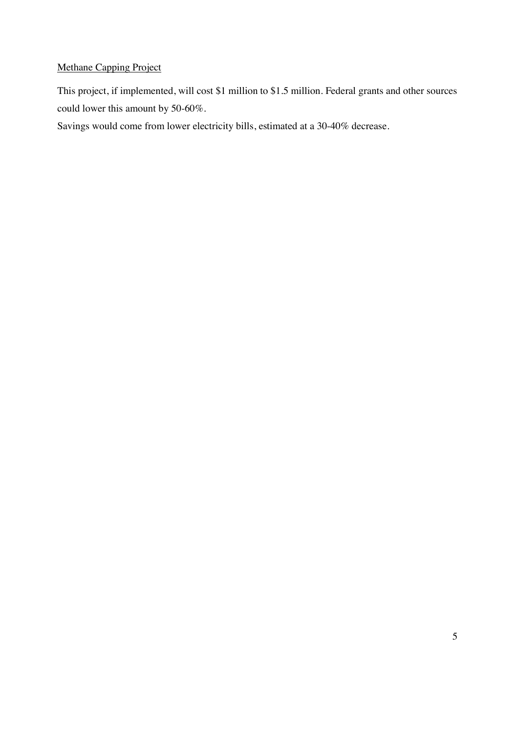# Methane Capping Project

This project, if implemented, will cost \$1 million to \$1.5 million. Federal grants and other sources could lower this amount by 50-60%.

Savings would come from lower electricity bills, estimated at a 30-40% decrease.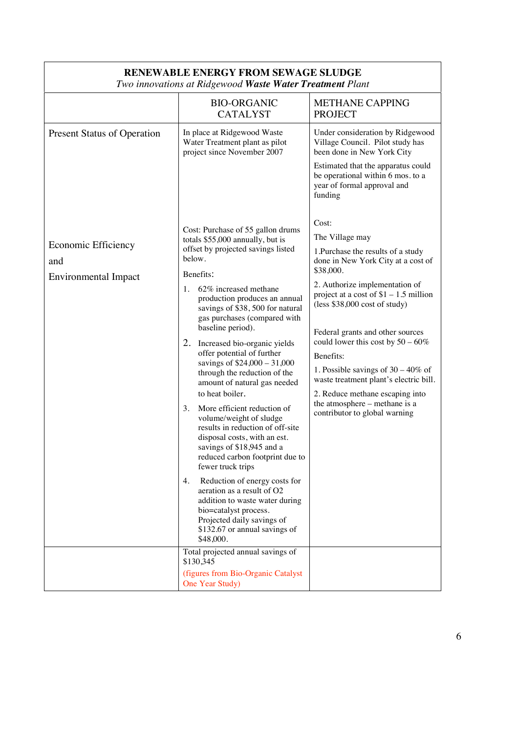| I wo innovamons ar Kiagewood w <b>asie water Freameni</b> I tani |                                                                                                                                                                                                                                                                                                                                                                                                                                                                                                                                                                                                                                                                                                                                                                                                                                                                                                                         |                                                                                                                                                                                                                                                                                                                                                                                                                                                                                                                                   |
|------------------------------------------------------------------|-------------------------------------------------------------------------------------------------------------------------------------------------------------------------------------------------------------------------------------------------------------------------------------------------------------------------------------------------------------------------------------------------------------------------------------------------------------------------------------------------------------------------------------------------------------------------------------------------------------------------------------------------------------------------------------------------------------------------------------------------------------------------------------------------------------------------------------------------------------------------------------------------------------------------|-----------------------------------------------------------------------------------------------------------------------------------------------------------------------------------------------------------------------------------------------------------------------------------------------------------------------------------------------------------------------------------------------------------------------------------------------------------------------------------------------------------------------------------|
|                                                                  | <b>BIO-ORGANIC</b><br><b>CATALYST</b>                                                                                                                                                                                                                                                                                                                                                                                                                                                                                                                                                                                                                                                                                                                                                                                                                                                                                   | METHANE CAPPING<br><b>PROJECT</b>                                                                                                                                                                                                                                                                                                                                                                                                                                                                                                 |
| <b>Present Status of Operation</b>                               | In place at Ridgewood Waste<br>Water Treatment plant as pilot<br>project since November 2007                                                                                                                                                                                                                                                                                                                                                                                                                                                                                                                                                                                                                                                                                                                                                                                                                            | Under consideration by Ridgewood<br>Village Council. Pilot study has<br>been done in New York City                                                                                                                                                                                                                                                                                                                                                                                                                                |
|                                                                  |                                                                                                                                                                                                                                                                                                                                                                                                                                                                                                                                                                                                                                                                                                                                                                                                                                                                                                                         | Estimated that the apparatus could<br>be operational within 6 mos. to a<br>year of formal approval and<br>funding                                                                                                                                                                                                                                                                                                                                                                                                                 |
| Economic Efficiency<br>and<br>Environmental Impact               | Cost: Purchase of 55 gallon drums<br>totals \$55,000 annually, but is<br>offset by projected savings listed<br>below.<br>Benefits:<br>62% increased methane<br>1.<br>production produces an annual<br>savings of \$38, 500 for natural<br>gas purchases (compared with<br>baseline period).<br>2.<br>Increased bio-organic yields<br>offer potential of further<br>savings of \$24,000 - 31,000<br>through the reduction of the<br>amount of natural gas needed<br>to heat boiler.<br>More efficient reduction of<br>3.<br>volume/weight of sludge<br>results in reduction of off-site<br>disposal costs, with an est.<br>savings of \$18,945 and a<br>reduced carbon footprint due to<br>fewer truck trips<br>Reduction of energy costs for<br>4.<br>aeration as a result of O2<br>addition to waste water during<br>bio=catalyst process.<br>Projected daily savings of<br>\$132.67 or annual savings of<br>\$48,000. | Cost:<br>The Village may<br>1. Purchase the results of a study<br>done in New York City at a cost of<br>\$38,000.<br>2. Authorize implementation of<br>project at a cost of $$1 - 1.5$ million<br>$(\text{less } $38,000 \text{ cost of study})$<br>Federal grants and other sources<br>could lower this cost by $50 - 60\%$<br>Benefits:<br>1. Possible savings of $30 - 40\%$ of<br>waste treatment plant's electric bill.<br>2. Reduce methane escaping into<br>the atmosphere – methane is a<br>contributor to global warning |
|                                                                  | Total projected annual savings of<br>\$130,345<br>(figures from Bio-Organic Catalyst<br>One Year Study)                                                                                                                                                                                                                                                                                                                                                                                                                                                                                                                                                                                                                                                                                                                                                                                                                 |                                                                                                                                                                                                                                                                                                                                                                                                                                                                                                                                   |

#### **RENEWABLE ENERGY FROM SEWAGE SLUDGE** *Two innovations at Ridgewood Waste Water Treatment Plant*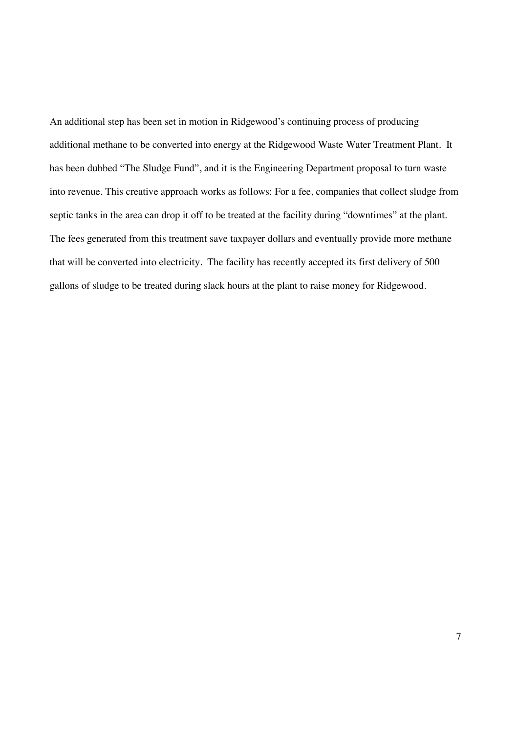An additional step has been set in motion in Ridgewood's continuing process of producing additional methane to be converted into energy at the Ridgewood Waste Water Treatment Plant. It has been dubbed "The Sludge Fund", and it is the Engineering Department proposal to turn waste into revenue. This creative approach works as follows: For a fee, companies that collect sludge from septic tanks in the area can drop it off to be treated at the facility during "downtimes" at the plant. The fees generated from this treatment save taxpayer dollars and eventually provide more methane that will be converted into electricity. The facility has recently accepted its first delivery of 500 gallons of sludge to be treated during slack hours at the plant to raise money for Ridgewood.